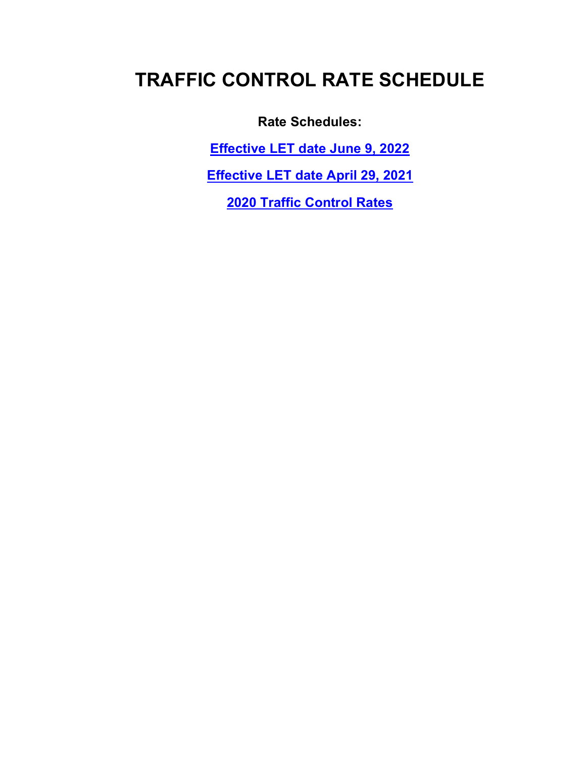**Rate Schedules:**

**[Effective LET date June 9, 2022](#page-1-0)**

**[Effective LET date April 29, 2021](#page-4-0)**

**[2020 Traffic Control Rates](#page-7-0)**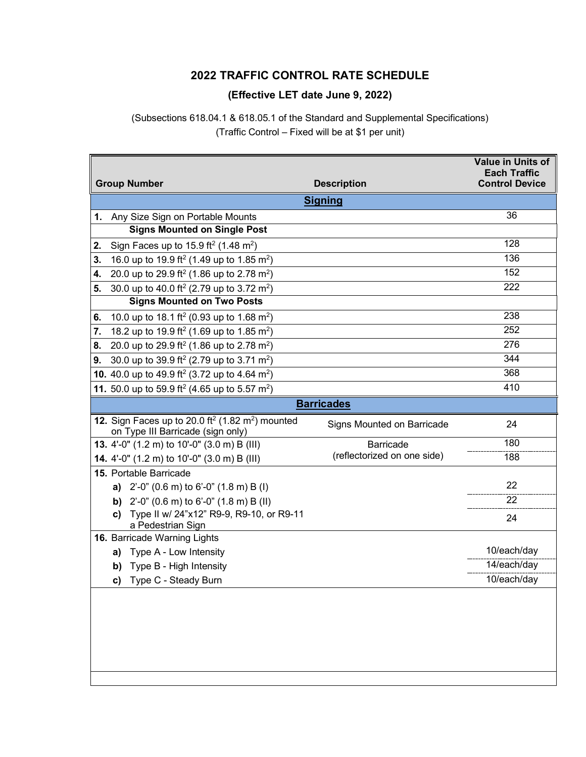#### **(Effective LET date June 9, 2022)**

<span id="page-1-0"></span>(Subsections 618.04.1 & 618.05.1 of the Standard and Supplemental Specifications) (Traffic Control – Fixed will be at \$1 per unit)

|    |                |                                                                                                               |                             | <b>Value in Units of</b><br><b>Each Traffic</b> |  |
|----|----------------|---------------------------------------------------------------------------------------------------------------|-----------------------------|-------------------------------------------------|--|
|    |                | <b>Group Number</b>                                                                                           | <b>Description</b>          | <b>Control Device</b>                           |  |
|    | <b>Signing</b> |                                                                                                               |                             |                                                 |  |
|    |                | 1. Any Size Sign on Portable Mounts                                                                           |                             | 36                                              |  |
|    |                | <b>Signs Mounted on Single Post</b>                                                                           |                             |                                                 |  |
| 2. |                | Sign Faces up to 15.9 ft <sup>2</sup> (1.48 m <sup>2</sup> )                                                  |                             | 128                                             |  |
| 3. |                | 16.0 up to 19.9 ft <sup>2</sup> (1.49 up to 1.85 m <sup>2</sup> )                                             |                             | 136                                             |  |
| 4. |                | 20.0 up to 29.9 ft <sup>2</sup> (1.86 up to 2.78 m <sup>2</sup> )                                             |                             | 152                                             |  |
| 5. |                | 30.0 up to 40.0 ft <sup>2</sup> (2.79 up to 3.72 m <sup>2</sup> )                                             |                             | 222                                             |  |
|    |                | <b>Signs Mounted on Two Posts</b>                                                                             |                             |                                                 |  |
| 6. |                | 10.0 up to 18.1 ft <sup>2</sup> (0.93 up to 1.68 m <sup>2</sup> )                                             |                             | 238                                             |  |
| 7. |                | 18.2 up to 19.9 ft <sup>2</sup> (1.69 up to 1.85 m <sup>2</sup> )                                             |                             | 252                                             |  |
| 8. |                | 20.0 up to 29.9 ft <sup>2</sup> (1.86 up to 2.78 m <sup>2</sup> )                                             |                             | 276                                             |  |
| 9. |                | 30.0 up to 39.9 ft <sup>2</sup> (2.79 up to 3.71 m <sup>2</sup> )                                             |                             | 344                                             |  |
|    |                | <b>10.</b> 40.0 up to 49.9 ft <sup>2</sup> (3.72 up to 4.64 m <sup>2</sup> )                                  |                             | 368                                             |  |
|    |                | 11. 50.0 up to 59.9 ft <sup>2</sup> (4.65 up to 5.57 m <sup>2</sup> )                                         |                             | 410                                             |  |
|    |                |                                                                                                               | <b>Barricades</b>           |                                                 |  |
|    |                | 12. Sign Faces up to 20.0 ft <sup>2</sup> (1.82 m <sup>2</sup> ) mounted<br>on Type III Barricade (sign only) | Signs Mounted on Barricade  | 24                                              |  |
|    |                | 13. 4'-0" (1.2 m) to 10'-0" (3.0 m) B (III)                                                                   | <b>Barricade</b>            | 180                                             |  |
|    |                | 14. 4'-0" (1.2 m) to 10'-0" (3.0 m) B (III)                                                                   | (reflectorized on one side) | 188                                             |  |
|    |                | 15. Portable Barricade                                                                                        |                             |                                                 |  |
|    |                | a) $2'-0''$ (0.6 m) to 6'-0" (1.8 m) B (1)                                                                    |                             | 22                                              |  |
|    |                | <b>b)</b> $2^{\prime}$ -0" (0.6 m) to 6'-0" (1.8 m) B (II)                                                    |                             | 22                                              |  |
|    | c)             | Type II w/ 24"x12" R9-9, R9-10, or R9-11<br>a Pedestrian Sign                                                 |                             | 24                                              |  |
|    |                | 16. Barricade Warning Lights                                                                                  |                             |                                                 |  |
|    | a)             | Type A - Low Intensity                                                                                        |                             | 10/each/day                                     |  |
|    | b)             | Type B - High Intensity                                                                                       |                             | 14/each/day                                     |  |
|    |                | c) Type C - Steady Burn                                                                                       |                             | 10/each/day                                     |  |
|    |                |                                                                                                               |                             |                                                 |  |
|    |                |                                                                                                               |                             |                                                 |  |
|    |                |                                                                                                               |                             |                                                 |  |
|    |                |                                                                                                               |                             |                                                 |  |
|    |                |                                                                                                               |                             |                                                 |  |
|    |                |                                                                                                               |                             |                                                 |  |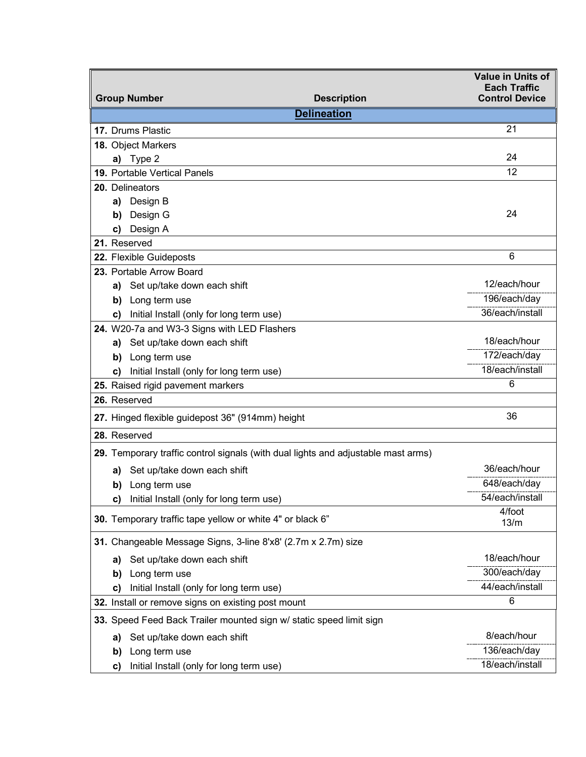| <b>Group Number</b>                                                               | <b>Value in Units of</b><br><b>Each Traffic</b><br><b>Control Device</b> |
|-----------------------------------------------------------------------------------|--------------------------------------------------------------------------|
| <b>Description</b><br><b>Delineation</b>                                          |                                                                          |
| 17. Drums Plastic                                                                 | 21                                                                       |
| 18. Object Markers                                                                |                                                                          |
| a) Type 2                                                                         | 24                                                                       |
| 19. Portable Vertical Panels                                                      | 12                                                                       |
| 20. Delineators                                                                   |                                                                          |
| Design B<br>a)                                                                    |                                                                          |
| Design G<br>b)                                                                    | 24                                                                       |
| Design A<br>C)                                                                    |                                                                          |
| 21. Reserved                                                                      |                                                                          |
| 22. Flexible Guideposts                                                           | 6                                                                        |
| 23. Portable Arrow Board                                                          |                                                                          |
| a) Set up/take down each shift                                                    | 12/each/hour                                                             |
| Long term use<br>b)                                                               | 196/each/day                                                             |
| Initial Install (only for long term use)<br>C)                                    | 36/each/install                                                          |
| 24. W20-7a and W3-3 Signs with LED Flashers                                       |                                                                          |
| a) Set up/take down each shift                                                    | 18/each/hour                                                             |
| Long term use<br>b)                                                               | 172/each/day                                                             |
| Initial Install (only for long term use)<br>C)                                    | 18/each/install                                                          |
| 25. Raised rigid pavement markers                                                 | 6                                                                        |
| 26. Reserved                                                                      |                                                                          |
| 27. Hinged flexible guidepost 36" (914mm) height                                  | 36                                                                       |
| 28. Reserved                                                                      |                                                                          |
| 29. Temporary traffic control signals (with dual lights and adjustable mast arms) |                                                                          |
| Set up/take down each shift<br>a)                                                 | 36/each/hour                                                             |
| b) Long term use                                                                  | 648/each/day                                                             |
| Initial Install (only for long term use)<br>c)                                    | 54/each/install                                                          |
| 30. Temporary traffic tape yellow or white 4" or black 6"                         | 4/foot<br>13/m                                                           |
| 31. Changeable Message Signs, 3-line 8'x8' (2.7m x 2.7m) size                     |                                                                          |
| Set up/take down each shift<br>a)                                                 | 18/each/hour                                                             |
| Long term use<br>b)                                                               | 300/each/day                                                             |
| Initial Install (only for long term use)<br>C)                                    | 44/each/install                                                          |
| 32. Install or remove signs on existing post mount                                | 6                                                                        |
| 33. Speed Feed Back Trailer mounted sign w/ static speed limit sign               |                                                                          |
| Set up/take down each shift<br>a)                                                 | 8/each/hour                                                              |
| Long term use<br>b)                                                               | 136/each/day                                                             |
| Initial Install (only for long term use)<br>C)                                    | 18/each/install                                                          |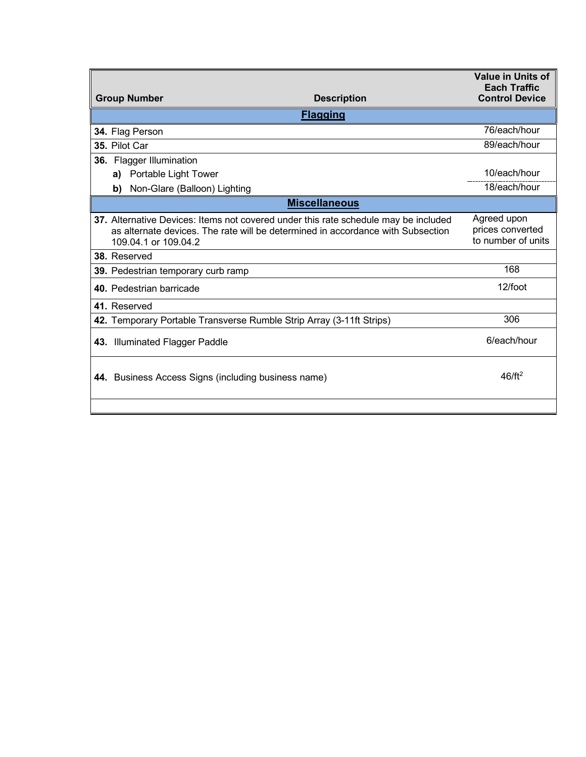|                                                                                                                                                                                                | <b>Value in Units of</b><br><b>Each Traffic</b>       |
|------------------------------------------------------------------------------------------------------------------------------------------------------------------------------------------------|-------------------------------------------------------|
| <b>Group Number</b><br><b>Description</b>                                                                                                                                                      | <b>Control Device</b>                                 |
| <b>Flagging</b>                                                                                                                                                                                |                                                       |
| 34. Flag Person                                                                                                                                                                                | 76/each/hour                                          |
| 35. Pilot Car                                                                                                                                                                                  | 89/each/hour                                          |
| 36. Flagger Illumination                                                                                                                                                                       |                                                       |
| Portable Light Tower<br>a)                                                                                                                                                                     | 10/each/hour                                          |
| Non-Glare (Balloon) Lighting<br>b)                                                                                                                                                             | 18/each/hour                                          |
| <b>Miscellaneous</b>                                                                                                                                                                           |                                                       |
| 37. Alternative Devices: Items not covered under this rate schedule may be included<br>as alternate devices. The rate will be determined in accordance with Subsection<br>109.04.1 or 109.04.2 | Agreed upon<br>prices converted<br>to number of units |
| 38. Reserved                                                                                                                                                                                   |                                                       |
| 39. Pedestrian temporary curb ramp                                                                                                                                                             | 168                                                   |
| 40. Pedestrian barricade                                                                                                                                                                       | 12/foot                                               |
| 41. Reserved                                                                                                                                                                                   |                                                       |
| 42. Temporary Portable Transverse Rumble Strip Array (3-11ft Strips)                                                                                                                           | 306                                                   |
| 43. Illuminated Flagger Paddle                                                                                                                                                                 | 6/each/hour                                           |
| 44. Business Access Signs (including business name)                                                                                                                                            | $46/ft^2$                                             |
|                                                                                                                                                                                                |                                                       |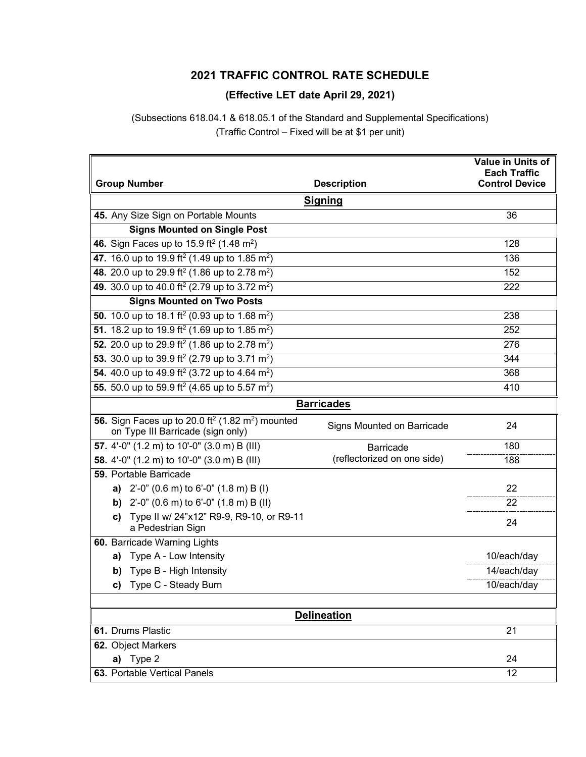#### **(Effective LET date April 29, 2021)**

<span id="page-4-0"></span>(Subsections 618.04.1 & 618.05.1 of the Standard and Supplemental Specifications) (Traffic Control – Fixed will be at \$1 per unit)

|                                                                                                               |                             | Value in Units of<br><b>Each Traffic</b> |
|---------------------------------------------------------------------------------------------------------------|-----------------------------|------------------------------------------|
| <b>Group Number</b>                                                                                           | <b>Description</b>          | <b>Control Device</b>                    |
|                                                                                                               | <b>Signing</b>              |                                          |
| 45. Any Size Sign on Portable Mounts                                                                          |                             | 36                                       |
| <b>Signs Mounted on Single Post</b>                                                                           |                             |                                          |
| 46. Sign Faces up to 15.9 ft <sup>2</sup> (1.48 m <sup>2</sup> )                                              |                             | 128                                      |
| 47. 16.0 up to 19.9 ft <sup>2</sup> (1.49 up to 1.85 m <sup>2</sup> )                                         |                             | 136                                      |
| 48. 20.0 up to 29.9 ft <sup>2</sup> (1.86 up to 2.78 m <sup>2</sup> )                                         |                             | 152                                      |
| 49. 30.0 up to 40.0 ft <sup>2</sup> (2.79 up to 3.72 m <sup>2</sup> )                                         |                             | 222                                      |
| <b>Signs Mounted on Two Posts</b>                                                                             |                             |                                          |
| 50. 10.0 up to 18.1 ft <sup>2</sup> (0.93 up to 1.68 m <sup>2</sup> )                                         |                             | 238                                      |
| 51. 18.2 up to 19.9 ft <sup>2</sup> (1.69 up to 1.85 m <sup>2</sup> )                                         |                             | 252                                      |
| 52. 20.0 up to 29.9 ft <sup>2</sup> (1.86 up to 2.78 m <sup>2</sup> )                                         |                             | 276                                      |
| 53. 30.0 up to 39.9 ft <sup>2</sup> (2.79 up to 3.71 m <sup>2</sup> )                                         |                             | 344                                      |
| 54. 40.0 up to 49.9 ft <sup>2</sup> (3.72 up to 4.64 m <sup>2</sup> )                                         |                             | 368                                      |
| 55. 50.0 up to 59.9 ft <sup>2</sup> (4.65 up to 5.57 m <sup>2</sup> )                                         |                             | 410                                      |
|                                                                                                               | <b>Barricades</b>           |                                          |
| 56. Sign Faces up to 20.0 ft <sup>2</sup> (1.82 m <sup>2</sup> ) mounted<br>on Type III Barricade (sign only) | Signs Mounted on Barricade  | 24                                       |
| 57. 4'-0" (1.2 m) to 10'-0" (3.0 m) B (III)                                                                   | <b>Barricade</b>            | 180                                      |
| 58. 4'-0" (1.2 m) to 10'-0" (3.0 m) B (III)                                                                   | (reflectorized on one side) | 188                                      |
| 59. Portable Barricade                                                                                        |                             |                                          |
| 2'-0" (0.6 m) to 6'-0" (1.8 m) B (I)<br>a)                                                                    |                             | 22                                       |
| <b>b)</b> $2^{\prime}$ -0" (0.6 m) to 6'-0" (1.8 m) B (II)                                                    |                             | 22                                       |
| Type II w/ 24"x12" R9-9, R9-10, or R9-11<br>C)<br>a Pedestrian Sign                                           |                             | 24                                       |
| 60. Barricade Warning Lights                                                                                  |                             |                                          |
| a) Type A - Low Intensity                                                                                     |                             | 10/each/day                              |
| <b>b)</b> Type B - High Intensity                                                                             |                             | 14/each/day                              |
| Type C - Steady Burn<br>c)                                                                                    |                             | 10/each/day                              |
|                                                                                                               |                             |                                          |
|                                                                                                               | <b>Delineation</b>          |                                          |
| 61. Drums Plastic                                                                                             |                             | 21                                       |
| 62. Object Markers                                                                                            |                             |                                          |
| a) Type 2                                                                                                     |                             | 24                                       |
| 63. Portable Vertical Panels                                                                                  |                             | 12                                       |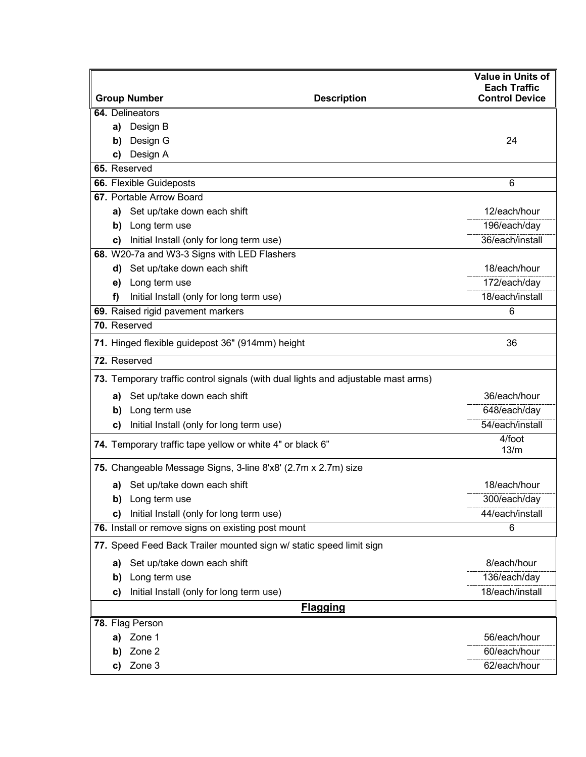|    | <b>Group Number</b>                                                               | <b>Description</b> | Value in Units of<br><b>Each Traffic</b><br><b>Control Device</b> |
|----|-----------------------------------------------------------------------------------|--------------------|-------------------------------------------------------------------|
|    | 64. Delineators                                                                   |                    |                                                                   |
| a) | Design B                                                                          |                    |                                                                   |
| b) | Design G                                                                          |                    | 24                                                                |
| C) | Design A                                                                          |                    |                                                                   |
|    | 65. Reserved                                                                      |                    |                                                                   |
|    | 66. Flexible Guideposts                                                           |                    | 6                                                                 |
|    | 67. Portable Arrow Board                                                          |                    |                                                                   |
| a) | Set up/take down each shift                                                       |                    | 12/each/hour                                                      |
| b) | Long term use                                                                     |                    | 196/each/day                                                      |
| C) | Initial Install (only for long term use)                                          |                    | 36/each/install                                                   |
|    | 68. W20-7a and W3-3 Signs with LED Flashers                                       |                    |                                                                   |
|    | d) Set up/take down each shift                                                    |                    | 18/each/hour                                                      |
| e) | Long term use                                                                     |                    | 172/each/day                                                      |
| f) | Initial Install (only for long term use)                                          |                    | 18/each/install                                                   |
|    | 69. Raised rigid pavement markers                                                 |                    | 6                                                                 |
|    | 70. Reserved                                                                      |                    |                                                                   |
|    | 71. Hinged flexible guidepost 36" (914mm) height                                  |                    | 36                                                                |
|    | 72. Reserved                                                                      |                    |                                                                   |
|    | 73. Temporary traffic control signals (with dual lights and adjustable mast arms) |                    |                                                                   |
| a) | Set up/take down each shift                                                       |                    | 36/each/hour                                                      |
| b) | Long term use                                                                     |                    | 648/each/day                                                      |
| C) | Initial Install (only for long term use)                                          |                    | 54/each/install                                                   |
|    | 74. Temporary traffic tape yellow or white 4" or black 6"                         |                    | 4/foot<br>13/m                                                    |
|    | 75. Changeable Message Signs, 3-line 8'x8' (2.7m x 2.7m) size                     |                    |                                                                   |
| a) | Set up/take down each shift                                                       |                    | 18/each/hour                                                      |
| D) | Long term use                                                                     |                    | 300/each/day                                                      |
| C) | Initial Install (only for long term use)                                          |                    | 44/each/install                                                   |
|    | 76. Install or remove signs on existing post mount                                |                    | 6                                                                 |
|    | 77. Speed Feed Back Trailer mounted sign w/ static speed limit sign               |                    |                                                                   |
| a) | Set up/take down each shift                                                       |                    | 8/each/hour                                                       |
| b) | Long term use                                                                     |                    | 136/each/day                                                      |
| c) | Initial Install (only for long term use)                                          |                    | 18/each/install                                                   |
|    |                                                                                   | <b>Flagging</b>    |                                                                   |
|    | 78. Flag Person                                                                   |                    |                                                                   |
| a) | Zone 1                                                                            |                    | 56/each/hour                                                      |
| b) | Zone 2                                                                            |                    | 60/each/hour                                                      |
| c) | Zone 3                                                                            |                    | 62/each/hour                                                      |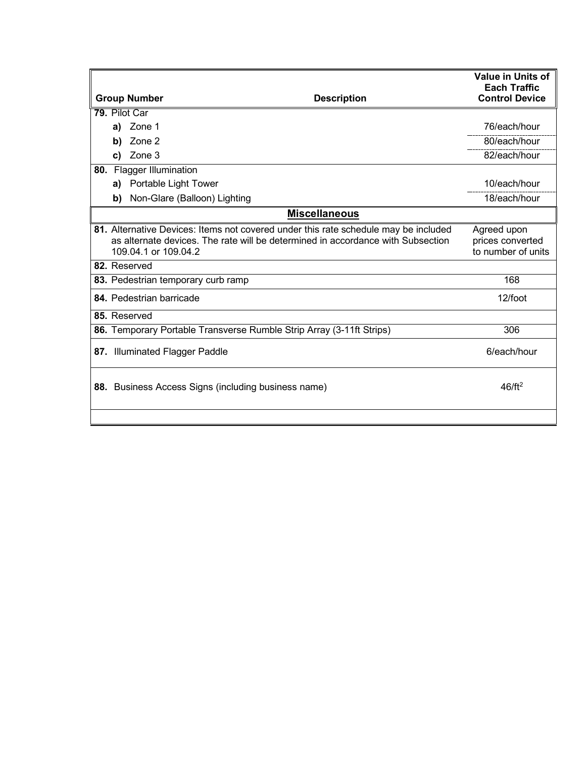|                          |                                                                                                         | <b>Value in Units of</b><br><b>Each Traffic</b> |
|--------------------------|---------------------------------------------------------------------------------------------------------|-------------------------------------------------|
| <b>Group Number</b>      | <b>Description</b>                                                                                      | <b>Control Device</b>                           |
| 79. Pilot Car            |                                                                                                         |                                                 |
| Zone 1<br>a)             |                                                                                                         | 76/each/hour                                    |
| Zone 2<br>b)             |                                                                                                         | 80/each/hour                                    |
| Zone 3<br>C)             |                                                                                                         | 82/each/hour                                    |
| 80. Flagger Illumination |                                                                                                         |                                                 |
| a)                       | Portable Light Tower                                                                                    | 10/each/hour                                    |
| b)                       | Non-Glare (Balloon) Lighting                                                                            | 18/each/hour                                    |
|                          | <b>Miscellaneous</b>                                                                                    |                                                 |
|                          | 81. Alternative Devices: Items not covered under this rate schedule may be included                     | Agreed upon                                     |
|                          | as alternate devices. The rate will be determined in accordance with Subsection<br>109.04.1 or 109.04.2 | prices converted<br>to number of units          |
| 82. Reserved             |                                                                                                         |                                                 |
|                          | 83. Pedestrian temporary curb ramp                                                                      | 168                                             |
| 84. Pedestrian barricade |                                                                                                         | 12/foot                                         |
| 85. Reserved             |                                                                                                         |                                                 |
|                          | 86. Temporary Portable Transverse Rumble Strip Array (3-11ft Strips)                                    | 306                                             |
|                          | 87. Illuminated Flagger Paddle                                                                          | 6/each/hour                                     |
|                          | 88. Business Access Signs (including business name)                                                     | $46/ft^2$                                       |
|                          |                                                                                                         |                                                 |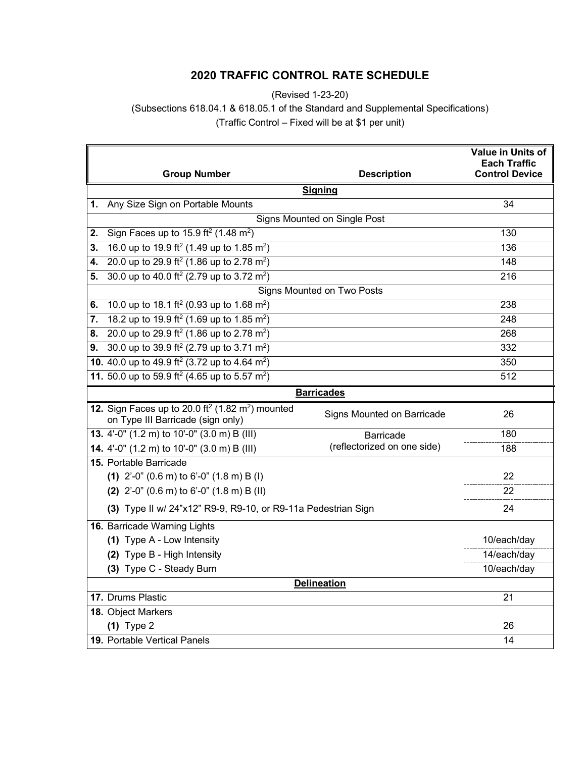(Revised 1-23-20)

<span id="page-7-0"></span>(Subsections 618.04.1 & 618.05.1 of the Standard and Supplemental Specifications)

(Traffic Control – Fixed will be at \$1 per unit)

|    | <b>Group Number</b>                                                                                             | <b>Description</b>           | Value in Units of<br><b>Each Traffic</b><br><b>Control Device</b> |  |  |
|----|-----------------------------------------------------------------------------------------------------------------|------------------------------|-------------------------------------------------------------------|--|--|
|    | <b>Signing</b>                                                                                                  |                              |                                                                   |  |  |
| 1. | Any Size Sign on Portable Mounts                                                                                |                              | 34                                                                |  |  |
|    |                                                                                                                 | Signs Mounted on Single Post |                                                                   |  |  |
| 2. | Sign Faces up to 15.9 ft <sup>2</sup> (1.48 m <sup>2</sup> )                                                    |                              | 130                                                               |  |  |
| 3. | 16.0 up to 19.9 ft <sup>2</sup> (1.49 up to 1.85 m <sup>2</sup> )                                               |                              | 136                                                               |  |  |
| 4. | 20.0 up to 29.9 ft <sup>2</sup> (1.86 up to 2.78 m <sup>2</sup> )                                               |                              | 148                                                               |  |  |
| 5. | 30.0 up to 40.0 ft <sup>2</sup> (2.79 up to 3.72 m <sup>2</sup> )                                               |                              | 216                                                               |  |  |
|    |                                                                                                                 | Signs Mounted on Two Posts   |                                                                   |  |  |
| 6. | 10.0 up to 18.1 ft <sup>2</sup> (0.93 up to 1.68 m <sup>2</sup> )                                               |                              | $\overline{238}$                                                  |  |  |
| 7. | 18.2 up to 19.9 ft <sup>2</sup> (1.69 up to 1.85 m <sup>2</sup> )                                               |                              | 248                                                               |  |  |
| 8. | 20.0 up to 29.9 ft <sup>2</sup> (1.86 up to 2.78 m <sup>2</sup> )                                               |                              | 268                                                               |  |  |
| 9. | 30.0 up to 39.9 ft <sup>2</sup> (2.79 up to 3.71 m <sup>2</sup> )                                               |                              | 332                                                               |  |  |
|    | 10. 40.0 up to 49.9 ft <sup>2</sup> (3.72 up to 4.64 m <sup>2</sup> )                                           |                              | 350                                                               |  |  |
|    | 11. 50.0 up to 59.9 ft <sup>2</sup> (4.65 up to 5.57 m <sup>2</sup> )                                           |                              | 512                                                               |  |  |
|    |                                                                                                                 | <b>Barricades</b>            |                                                                   |  |  |
|    | 12. Sign Faces up to $20.0$ ft <sup>2</sup> (1.82 m <sup>2</sup> ) mounted<br>on Type III Barricade (sign only) | Signs Mounted on Barricade   | 26                                                                |  |  |
|    | 13. 4'-0" (1.2 m) to 10'-0" (3.0 m) B (III)                                                                     | <b>Barricade</b>             | 180                                                               |  |  |
|    | 14. 4'-0" (1.2 m) to 10'-0" (3.0 m) B (III)                                                                     | (reflectorized on one side)  | 188                                                               |  |  |
|    | 15. Portable Barricade                                                                                          |                              |                                                                   |  |  |
|    | (1) $2^{\prime}$ -0" (0.6 m) to 6'-0" (1.8 m) B (I)                                                             |                              | 22                                                                |  |  |
|    | (2) $2^{\prime}$ -0" (0.6 m) to 6'-0" (1.8 m) B (II)                                                            |                              | 22                                                                |  |  |
|    | (3) Type II w/ 24"x12" R9-9, R9-10, or R9-11a Pedestrian Sign                                                   |                              | 24                                                                |  |  |
|    | 16. Barricade Warning Lights                                                                                    |                              |                                                                   |  |  |
|    | (1) Type A - Low Intensity                                                                                      |                              | 10/each/day                                                       |  |  |
|    | (2) Type B - High Intensity                                                                                     |                              | 14/each/day                                                       |  |  |
|    | (3) Type C - Steady Burn                                                                                        |                              | 10/each/day                                                       |  |  |
|    |                                                                                                                 | <b>Delineation</b>           |                                                                   |  |  |
|    | 17. Drums Plastic                                                                                               |                              | $\overline{21}$                                                   |  |  |
|    | 18. Object Markers                                                                                              |                              |                                                                   |  |  |
|    | $(1)$ Type 2                                                                                                    |                              | 26                                                                |  |  |
|    | 19. Portable Vertical Panels                                                                                    |                              | 14                                                                |  |  |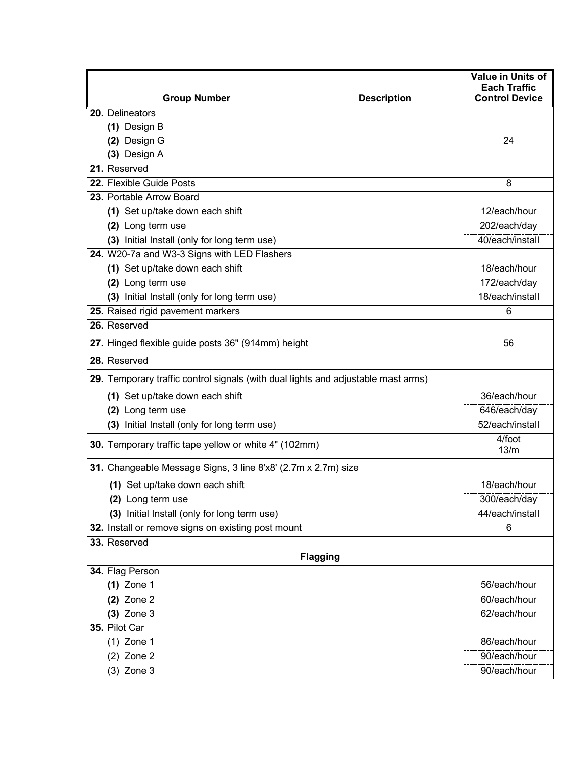| <b>Group Number</b>                                                               | <b>Description</b> | <b>Value in Units of</b><br><b>Each Traffic</b><br><b>Control Device</b> |
|-----------------------------------------------------------------------------------|--------------------|--------------------------------------------------------------------------|
| 20. Delineators                                                                   |                    |                                                                          |
| (1) Design B                                                                      |                    |                                                                          |
| (2) Design G                                                                      |                    | 24                                                                       |
| (3) Design A                                                                      |                    |                                                                          |
| 21. Reserved                                                                      |                    |                                                                          |
| 22. Flexible Guide Posts                                                          |                    | 8                                                                        |
| 23. Portable Arrow Board                                                          |                    |                                                                          |
| (1) Set up/take down each shift                                                   |                    | 12/each/hour                                                             |
| (2) Long term use                                                                 |                    | 202/each/day                                                             |
| (3) Initial Install (only for long term use)                                      |                    | 40/each/install                                                          |
| 24. W20-7a and W3-3 Signs with LED Flashers                                       |                    |                                                                          |
| (1) Set up/take down each shift                                                   |                    | 18/each/hour                                                             |
| (2) Long term use                                                                 |                    | 172/each/day                                                             |
| (3) Initial Install (only for long term use)                                      |                    | 18/each/install                                                          |
| 25. Raised rigid pavement markers                                                 |                    | 6                                                                        |
| 26. Reserved                                                                      |                    |                                                                          |
| 27. Hinged flexible guide posts 36" (914mm) height                                |                    | 56                                                                       |
| 28. Reserved                                                                      |                    |                                                                          |
| 29. Temporary traffic control signals (with dual lights and adjustable mast arms) |                    |                                                                          |
| (1) Set up/take down each shift                                                   |                    | 36/each/hour                                                             |
| (2) Long term use                                                                 |                    | 646/each/day                                                             |
| (3) Initial Install (only for long term use)                                      |                    | 52/each/install                                                          |
| 30. Temporary traffic tape yellow or white 4" (102mm)                             |                    | 4/foot<br>13/m                                                           |
| 31. Changeable Message Signs, 3 line 8'x8' (2.7m x 2.7m) size                     |                    |                                                                          |
| (1) Set up/take down each shift                                                   |                    | 18/each/hour                                                             |
| (2) Long term use                                                                 |                    | 300/each/day                                                             |
| (3) Initial Install (only for long term use)                                      |                    | 44/each/install                                                          |
| 32. Install or remove signs on existing post mount                                |                    | 6                                                                        |
| 33. Reserved                                                                      |                    |                                                                          |
|                                                                                   | <b>Flagging</b>    |                                                                          |
| 34. Flag Person                                                                   |                    |                                                                          |
| $(1)$ Zone 1                                                                      |                    | 56/each/hour                                                             |
| $(2)$ Zone 2                                                                      |                    | 60/each/hour                                                             |
| $(3)$ Zone 3                                                                      |                    | 62/each/hour                                                             |
| 35. Pilot Car                                                                     |                    |                                                                          |
| $(1)$ Zone 1                                                                      |                    | 86/each/hour                                                             |
| $(2)$ Zone 2                                                                      |                    | 90/each/hour                                                             |
| $(3)$ Zone 3                                                                      |                    | 90/each/hour                                                             |